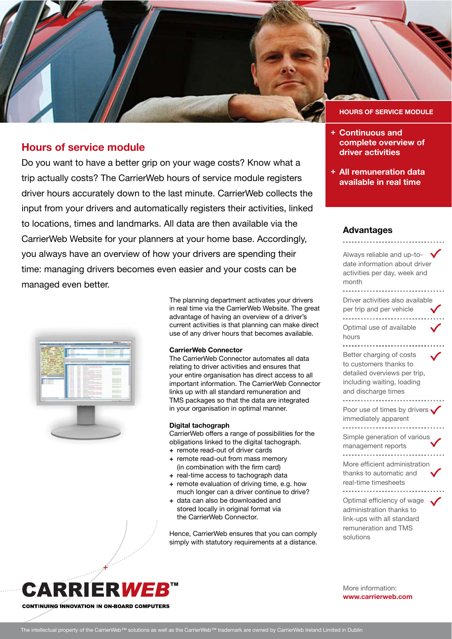

# **Hours of service module**

Do you want to have a better grip on your wage costs? Know what a trip actually costs? The CarrierWeb hours of service module registers driver hours accurately down to the last minute. CarrierWeb collects the input from your drivers and automatically registers their activities, linked to locations, times and landmarks. All data are then available via the CarrierWeb Website for your planners at your home base. Accordingly, you always have an overview of how your drivers are spending their time: managing drivers becomes even easier and your costs can be managed even better.



The planning department activates your drivers in real time via the CarrierWeb Website. The great advantage of having an overview of a driver's current activities is that planning can make direct use of any driver hours that becomes available.

### **CarrierWeb Connector**

The CarrierWeb Connector automates all data relating to driver activities and ensures that your entire organisation has direct access to all important information. The CarrierWeb Connector links up with all standard remuneration and TMS packages so that the data are integrated in your organisation in optimal manner.

### **Digital tachograph**

CarrierWeb offers a range of possibilities for the obligations linked to the digital tachograph.

- **+** remote read-out of driver cards
- **+** remote read-out from mass memory (in combination with the firm card)
- **+** real-time access to tachograph data
- **+** remote evaluation of driving time, e.g. how much longer can a driver continue to drive?
- **+** data can also be downloaded and stored locally in original format via the CarrierWeb Connector.

Hence, CarrierWeb ensures that you can comply simply with statutory requirements at a distance.

- **Continuous and + complete overview of driver activities**
- **All remuneration data + available in real time**

# **Advantages**

Always reliable and up-todate information about driver activities per day, week and month Driver activities also available per trip and per vehicle Optimal use of available hours Better charging of costs to customers thanks to detailed overviews per trip, including waiting, loading and discharge times Poor use of times by drivers . immediately apparent Simple generation of various management reports . . . . . . . . . . . . . . . . . . More efficient administration thanks to automatic and real-time timesheets Optimal efficiency of wage administration thanks to link-ups with all standard remuneration and TMS solutions



More information: **www.carrierweb.com**